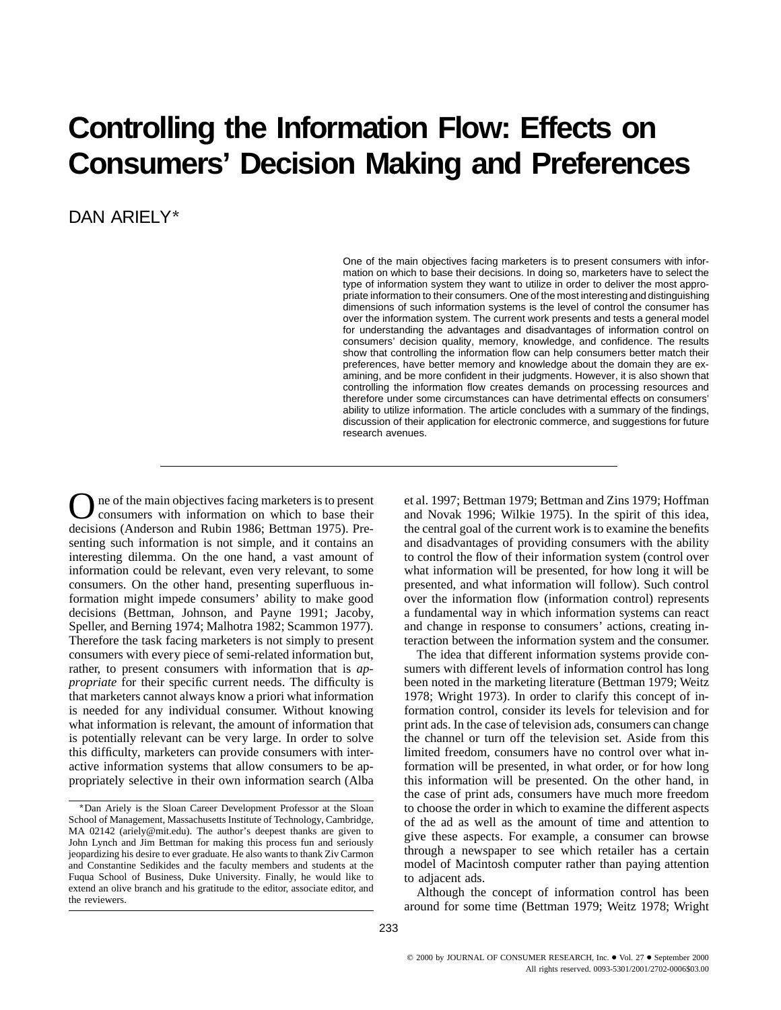# **Controlling the Information Flow: Effects on Consumers' Decision Making and Preferences**

DAN ARIELY\*

One of the main objectives facing marketers is to present consumers with information on which to base their decisions. In doing so, marketers have to select the type of information system they want to utilize in order to deliver the most appropriate information to their consumers. One of the most interesting and distinguishing dimensions of such information systems is the level of control the consumer has over the information system. The current work presents and tests a general model for understanding the advantages and disadvantages of information control on consumers' decision quality, memory, knowledge, and confidence. The results show that controlling the information flow can help consumers better match their preferences, have better memory and knowledge about the domain they are examining, and be more confident in their judgments. However, it is also shown that controlling the information flow creates demands on processing resources and therefore under some circumstances can have detrimental effects on consumers' ability to utilize information. The article concludes with a summary of the findings, discussion of their application for electronic commerce, and suggestions for future research avenues.

One of the main objectives facing marketers is to present<br>consumers with information on which to base their<br>consumers with information on which to base decisions (Anderson and Rubin 1986; Bettman 1975). Presenting such information is not simple, and it contains an interesting dilemma. On the one hand, a vast amount of information could be relevant, even very relevant, to some consumers. On the other hand, presenting superfluous information might impede consumers' ability to make good decisions (Bettman, Johnson, and Payne 1991; Jacoby, Speller, and Berning 1974; Malhotra 1982; Scammon 1977). Therefore the task facing marketers is not simply to present consumers with every piece of semi-related information but, rather, to present consumers with information that is *appropriate* for their specific current needs. The difficulty is that marketers cannot always know a priori what information is needed for any individual consumer. Without knowing what information is relevant, the amount of information that is potentially relevant can be very large. In order to solve this difficulty, marketers can provide consumers with interactive information systems that allow consumers to be appropriately selective in their own information search (Alba

et al. 1997; Bettman 1979; Bettman and Zins 1979; Hoffman and Novak 1996; Wilkie 1975). In the spirit of this idea, the central goal of the current work is to examine the benefits and disadvantages of providing consumers with the ability to control the flow of their information system (control over what information will be presented, for how long it will be presented, and what information will follow). Such control over the information flow (information control) represents a fundamental way in which information systems can react and change in response to consumers' actions, creating interaction between the information system and the consumer.

The idea that different information systems provide consumers with different levels of information control has long been noted in the marketing literature (Bettman 1979; Weitz 1978; Wright 1973). In order to clarify this concept of information control, consider its levels for television and for print ads. In the case of television ads, consumers can change the channel or turn off the television set. Aside from this limited freedom, consumers have no control over what information will be presented, in what order, or for how long this information will be presented. On the other hand, in the case of print ads, consumers have much more freedom to choose the order in which to examine the different aspects of the ad as well as the amount of time and attention to give these aspects. For example, a consumer can browse through a newspaper to see which retailer has a certain model of Macintosh computer rather than paying attention to adjacent ads.

Although the concept of information control has been around for some time (Bettman 1979; Weitz 1978; Wright

<sup>\*</sup>Dan Ariely is the Sloan Career Development Professor at the Sloan School of Management, Massachusetts Institute of Technology, Cambridge, MA 02142 (ariely@mit.edu). The author's deepest thanks are given to John Lynch and Jim Bettman for making this process fun and seriously jeopardizing his desire to ever graduate. He also wants to thank Ziv Carmon and Constantine Sedikides and the faculty members and students at the Fuqua School of Business, Duke University. Finally, he would like to extend an olive branch and his gratitude to the editor, associate editor, and the reviewers.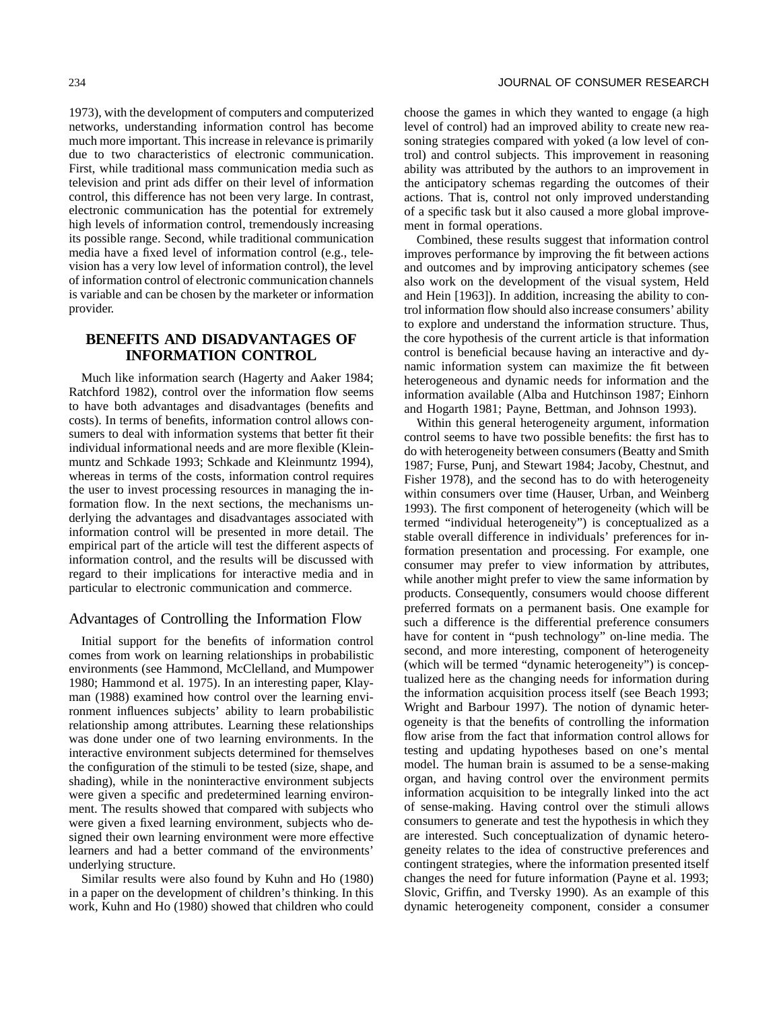1973), with the development of computers and computerized networks, understanding information control has become much more important. This increase in relevance is primarily due to two characteristics of electronic communication. First, while traditional mass communication media such as television and print ads differ on their level of information control, this difference has not been very large. In contrast, electronic communication has the potential for extremely high levels of information control, tremendously increasing its possible range. Second, while traditional communication media have a fixed level of information control (e.g., television has a very low level of information control), the level of information control of electronic communication channels is variable and can be chosen by the marketer or information provider.

## **BENEFITS AND DISADVANTAGES OF INFORMATION CONTROL**

Much like information search (Hagerty and Aaker 1984; Ratchford 1982), control over the information flow seems to have both advantages and disadvantages (benefits and costs). In terms of benefits, information control allows consumers to deal with information systems that better fit their individual informational needs and are more flexible (Kleinmuntz and Schkade 1993; Schkade and Kleinmuntz 1994), whereas in terms of the costs, information control requires the user to invest processing resources in managing the information flow. In the next sections, the mechanisms underlying the advantages and disadvantages associated with information control will be presented in more detail. The empirical part of the article will test the different aspects of information control, and the results will be discussed with regard to their implications for interactive media and in particular to electronic communication and commerce.

## Advantages of Controlling the Information Flow

Initial support for the benefits of information control comes from work on learning relationships in probabilistic environments (see Hammond, McClelland, and Mumpower 1980; Hammond et al. 1975). In an interesting paper, Klayman (1988) examined how control over the learning environment influences subjects' ability to learn probabilistic relationship among attributes. Learning these relationships was done under one of two learning environments. In the interactive environment subjects determined for themselves the configuration of the stimuli to be tested (size, shape, and shading), while in the noninteractive environment subjects were given a specific and predetermined learning environment. The results showed that compared with subjects who were given a fixed learning environment, subjects who designed their own learning environment were more effective learners and had a better command of the environments' underlying structure.

Similar results were also found by Kuhn and Ho (1980) in a paper on the development of children's thinking. In this work, Kuhn and Ho (1980) showed that children who could choose the games in which they wanted to engage (a high level of control) had an improved ability to create new reasoning strategies compared with yoked (a low level of control) and control subjects. This improvement in reasoning ability was attributed by the authors to an improvement in the anticipatory schemas regarding the outcomes of their actions. That is, control not only improved understanding of a specific task but it also caused a more global improvement in formal operations.

Combined, these results suggest that information control improves performance by improving the fit between actions and outcomes and by improving anticipatory schemes (see also work on the development of the visual system, Held and Hein [1963]). In addition, increasing the ability to control information flow should also increase consumers' ability to explore and understand the information structure. Thus, the core hypothesis of the current article is that information control is beneficial because having an interactive and dynamic information system can maximize the fit between heterogeneous and dynamic needs for information and the information available (Alba and Hutchinson 1987; Einhorn and Hogarth 1981; Payne, Bettman, and Johnson 1993).

Within this general heterogeneity argument, information control seems to have two possible benefits: the first has to do with heterogeneity between consumers (Beatty and Smith 1987; Furse, Punj, and Stewart 1984; Jacoby, Chestnut, and Fisher 1978), and the second has to do with heterogeneity within consumers over time (Hauser, Urban, and Weinberg 1993). The first component of heterogeneity (which will be termed "individual heterogeneity") is conceptualized as a stable overall difference in individuals' preferences for information presentation and processing. For example, one consumer may prefer to view information by attributes, while another might prefer to view the same information by products. Consequently, consumers would choose different preferred formats on a permanent basis. One example for such a difference is the differential preference consumers have for content in "push technology" on-line media. The second, and more interesting, component of heterogeneity (which will be termed "dynamic heterogeneity") is conceptualized here as the changing needs for information during the information acquisition process itself (see Beach 1993; Wright and Barbour 1997). The notion of dynamic heterogeneity is that the benefits of controlling the information flow arise from the fact that information control allows for testing and updating hypotheses based on one's mental model. The human brain is assumed to be a sense-making organ, and having control over the environment permits information acquisition to be integrally linked into the act of sense-making. Having control over the stimuli allows consumers to generate and test the hypothesis in which they are interested. Such conceptualization of dynamic heterogeneity relates to the idea of constructive preferences and contingent strategies, where the information presented itself changes the need for future information (Payne et al. 1993; Slovic, Griffin, and Tversky 1990). As an example of this dynamic heterogeneity component, consider a consumer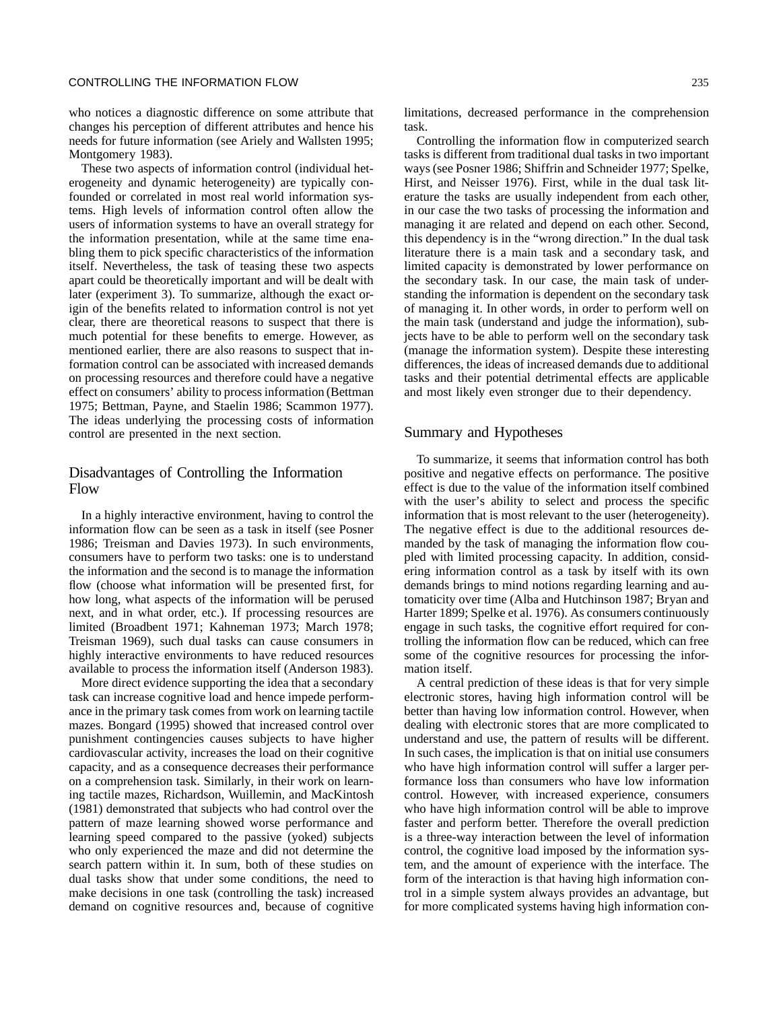who notices a diagnostic difference on some attribute that changes his perception of different attributes and hence his needs for future information (see Ariely and Wallsten 1995; Montgomery 1983).

These two aspects of information control (individual heterogeneity and dynamic heterogeneity) are typically confounded or correlated in most real world information systems. High levels of information control often allow the users of information systems to have an overall strategy for the information presentation, while at the same time enabling them to pick specific characteristics of the information itself. Nevertheless, the task of teasing these two aspects apart could be theoretically important and will be dealt with later (experiment 3). To summarize, although the exact origin of the benefits related to information control is not yet clear, there are theoretical reasons to suspect that there is much potential for these benefits to emerge. However, as mentioned earlier, there are also reasons to suspect that information control can be associated with increased demands on processing resources and therefore could have a negative effect on consumers' ability to process information (Bettman 1975; Bettman, Payne, and Staelin 1986; Scammon 1977). The ideas underlying the processing costs of information control are presented in the next section.

# Disadvantages of Controlling the Information Flow

In a highly interactive environment, having to control the information flow can be seen as a task in itself (see Posner 1986; Treisman and Davies 1973). In such environments, consumers have to perform two tasks: one is to understand the information and the second is to manage the information flow (choose what information will be presented first, for how long, what aspects of the information will be perused next, and in what order, etc.). If processing resources are limited (Broadbent 1971; Kahneman 1973; March 1978; Treisman 1969), such dual tasks can cause consumers in highly interactive environments to have reduced resources available to process the information itself (Anderson 1983).

More direct evidence supporting the idea that a secondary task can increase cognitive load and hence impede performance in the primary task comes from work on learning tactile mazes. Bongard (1995) showed that increased control over punishment contingencies causes subjects to have higher cardiovascular activity, increases the load on their cognitive capacity, and as a consequence decreases their performance on a comprehension task. Similarly, in their work on learning tactile mazes, Richardson, Wuillemin, and MacKintosh (1981) demonstrated that subjects who had control over the pattern of maze learning showed worse performance and learning speed compared to the passive (yoked) subjects who only experienced the maze and did not determine the search pattern within it. In sum, both of these studies on dual tasks show that under some conditions, the need to make decisions in one task (controlling the task) increased demand on cognitive resources and, because of cognitive limitations, decreased performance in the comprehension task.

Controlling the information flow in computerized search tasks is different from traditional dual tasks in two important ways (see Posner 1986; Shiffrin and Schneider 1977; Spelke, Hirst, and Neisser 1976). First, while in the dual task literature the tasks are usually independent from each other, in our case the two tasks of processing the information and managing it are related and depend on each other. Second, this dependency is in the "wrong direction." In the dual task literature there is a main task and a secondary task, and limited capacity is demonstrated by lower performance on the secondary task. In our case, the main task of understanding the information is dependent on the secondary task of managing it. In other words, in order to perform well on the main task (understand and judge the information), subjects have to be able to perform well on the secondary task (manage the information system). Despite these interesting differences, the ideas of increased demands due to additional tasks and their potential detrimental effects are applicable and most likely even stronger due to their dependency.

#### Summary and Hypotheses

To summarize, it seems that information control has both positive and negative effects on performance. The positive effect is due to the value of the information itself combined with the user's ability to select and process the specific information that is most relevant to the user (heterogeneity). The negative effect is due to the additional resources demanded by the task of managing the information flow coupled with limited processing capacity. In addition, considering information control as a task by itself with its own demands brings to mind notions regarding learning and automaticity over time (Alba and Hutchinson 1987; Bryan and Harter 1899; Spelke et al. 1976). As consumers continuously engage in such tasks, the cognitive effort required for controlling the information flow can be reduced, which can free some of the cognitive resources for processing the information itself.

A central prediction of these ideas is that for very simple electronic stores, having high information control will be better than having low information control. However, when dealing with electronic stores that are more complicated to understand and use, the pattern of results will be different. In such cases, the implication is that on initial use consumers who have high information control will suffer a larger performance loss than consumers who have low information control. However, with increased experience, consumers who have high information control will be able to improve faster and perform better. Therefore the overall prediction is a three-way interaction between the level of information control, the cognitive load imposed by the information system, and the amount of experience with the interface. The form of the interaction is that having high information control in a simple system always provides an advantage, but for more complicated systems having high information con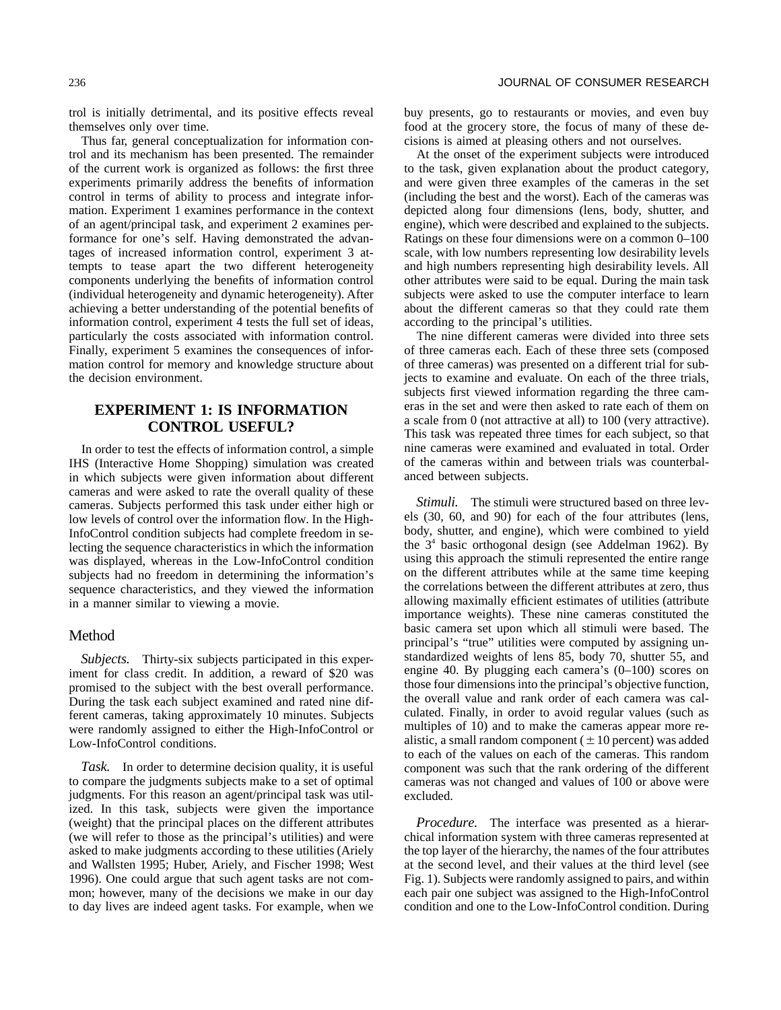trol is initially detrimental, and its positive effects reveal themselves only over time.

Thus far, general conceptualization for information control and its mechanism has been presented. The remainder of the current work is organized as follows: the first three experiments primarily address the benefits of information control in terms of ability to process and integrate information. Experiment 1 examines performance in the context of an agent/principal task, and experiment 2 examines performance for one's self. Having demonstrated the advantages of increased information control, experiment 3 attempts to tease apart the two different heterogeneity components underlying the benefits of information control (individual heterogeneity and dynamic heterogeneity). After achieving a better understanding of the potential benefits of information control, experiment 4 tests the full set of ideas, particularly the costs associated with information control. Finally, experiment 5 examines the consequences of information control for memory and knowledge structure about the decision environment.

# **EXPERIMENT 1: IS INFORMATION CONTROL USEFUL?**

In order to test the effects of information control, a simple IHS (Interactive Home Shopping) simulation was created in which subjects were given information about different cameras and were asked to rate the overall quality of these cameras. Subjects performed this task under either high or low levels of control over the information flow. In the High-InfoControl condition subjects had complete freedom in selecting the sequence characteristics in which the information was displayed, whereas in the Low-InfoControl condition subjects had no freedom in determining the information's sequence characteristics, and they viewed the information in a manner similar to viewing a movie.

## Method

*Subjects.* Thirty-six subjects participated in this experiment for class credit. In addition, a reward of \$20 was promised to the subject with the best overall performance. During the task each subject examined and rated nine different cameras, taking approximately 10 minutes. Subjects were randomly assigned to either the High-InfoControl or Low-InfoControl conditions.

*Task.* In order to determine decision quality, it is useful to compare the judgments subjects make to a set of optimal judgments. For this reason an agent/principal task was utilized. In this task, subjects were given the importance (weight) that the principal places on the different attributes (we will refer to those as the principal's utilities) and were asked to make judgments according to these utilities (Ariely and Wallsten 1995; Huber, Ariely, and Fischer 1998; West 1996). One could argue that such agent tasks are not common; however, many of the decisions we make in our day to day lives are indeed agent tasks. For example, when we buy presents, go to restaurants or movies, and even buy food at the grocery store, the focus of many of these decisions is aimed at pleasing others and not ourselves.

At the onset of the experiment subjects were introduced to the task, given explanation about the product category, and were given three examples of the cameras in the set (including the best and the worst). Each of the cameras was depicted along four dimensions (lens, body, shutter, and engine), which were described and explained to the subjects. Ratings on these four dimensions were on a common 0–100 scale, with low numbers representing low desirability levels and high numbers representing high desirability levels. All other attributes were said to be equal. During the main task subjects were asked to use the computer interface to learn about the different cameras so that they could rate them according to the principal's utilities.

The nine different cameras were divided into three sets of three cameras each. Each of these three sets (composed of three cameras) was presented on a different trial for subjects to examine and evaluate. On each of the three trials, subjects first viewed information regarding the three cameras in the set and were then asked to rate each of them on a scale from 0 (not attractive at all) to 100 (very attractive). This task was repeated three times for each subject, so that nine cameras were examined and evaluated in total. Order of the cameras within and between trials was counterbalanced between subjects.

*Stimuli.* The stimuli were structured based on three levels (30, 60, and 90) for each of the four attributes (lens, body, shutter, and engine), which were combined to yield the  $3<sup>4</sup>$  basic orthogonal design (see Addelman 1962). By using this approach the stimuli represented the entire range on the different attributes while at the same time keeping the correlations between the different attributes at zero, thus allowing maximally efficient estimates of utilities (attribute importance weights). These nine cameras constituted the basic camera set upon which all stimuli were based. The principal's "true" utilities were computed by assigning unstandardized weights of lens 85, body 70, shutter 55, and engine 40. By plugging each camera's (0–100) scores on those four dimensions into the principal's objective function, the overall value and rank order of each camera was calculated. Finally, in order to avoid regular values (such as multiples of 10) and to make the cameras appear more realistic, a small random component  $(±10$  percent) was added to each of the values on each of the cameras. This random component was such that the rank ordering of the different cameras was not changed and values of 100 or above were excluded.

*Procedure.* The interface was presented as a hierarchical information system with three cameras represented at the top layer of the hierarchy, the names of the four attributes at the second level, and their values at the third level (see Fig. 1). Subjects were randomly assigned to pairs, and within each pair one subject was assigned to the High-InfoControl condition and one to the Low-InfoControl condition. During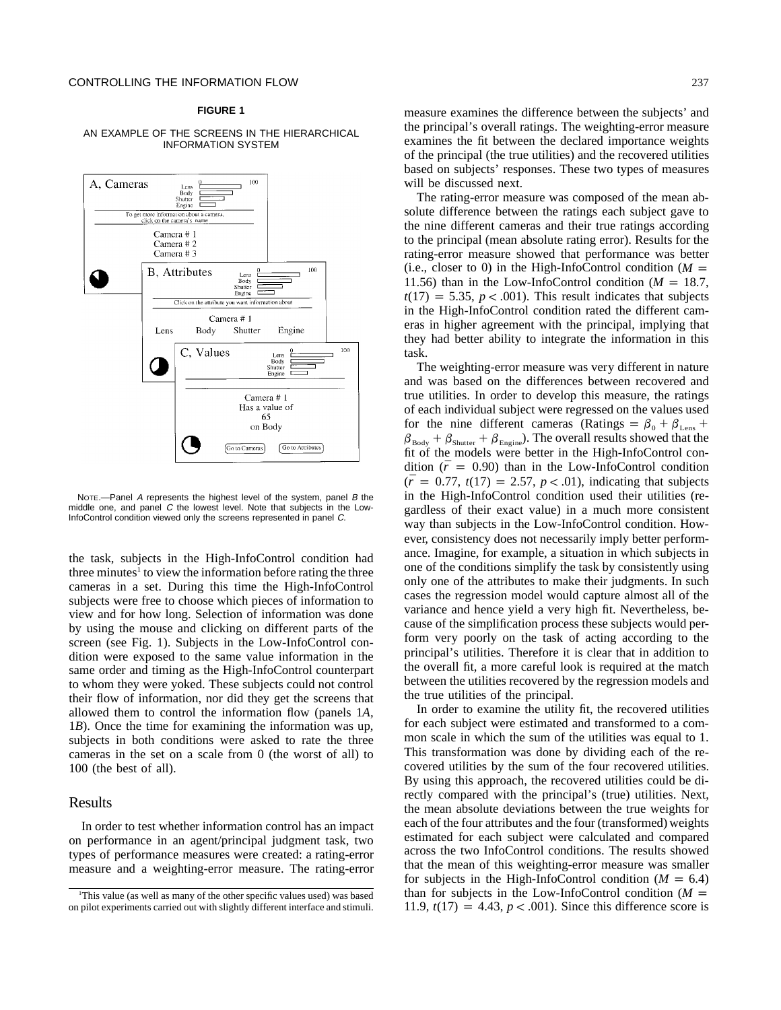#### **FIGURE 1**

#### AN EXAMPLE OF THE SCREENS IN THE HIERARCHICAL INFORMATION SYSTEM



NOTE.--Panel A represents the highest level of the system, panel  $B$  the middle one, and panel C the lowest level. Note that subjects in the Low-InfoControl condition viewed only the screens represented in panel C.

the task, subjects in the High-InfoControl condition had three minutes<sup>1</sup> to view the information before rating the three cameras in a set. During this time the High-InfoControl subjects were free to choose which pieces of information to view and for how long. Selection of information was done by using the mouse and clicking on different parts of the screen (see Fig. 1). Subjects in the Low-InfoControl condition were exposed to the same value information in the same order and timing as the High-InfoControl counterpart to whom they were yoked. These subjects could not control their flow of information, nor did they get the screens that allowed them to control the information flow (panels 1*A,* 1*B*). Once the time for examining the information was up, subjects in both conditions were asked to rate the three cameras in the set on a scale from 0 (the worst of all) to 100 (the best of all).

## Results

In order to test whether information control has an impact on performance in an agent/principal judgment task, two types of performance measures were created: a rating-error measure and a weighting-error measure. The rating-error measure examines the difference between the subjects' and the principal's overall ratings. The weighting-error measure examines the fit between the declared importance weights of the principal (the true utilities) and the recovered utilities based on subjects' responses. These two types of measures will be discussed next.

The rating-error measure was composed of the mean absolute difference between the ratings each subject gave to the nine different cameras and their true ratings according to the principal (mean absolute rating error). Results for the rating-error measure showed that performance was better (i.e., closer to 0) in the High-InfoControl condition  $(M =$ 11.56) than in the Low-InfoControl condition  $(M = 18.7,$  $t(17) = 5.35$ ,  $p < .001$ ). This result indicates that subjects in the High-InfoControl condition rated the different cameras in higher agreement with the principal, implying that they had better ability to integrate the information in this task.

The weighting-error measure was very different in nature and was based on the differences between recovered and true utilities. In order to develop this measure, the ratings of each individual subject were regressed on the values used for the nine different cameras (Ratings =  $\beta_0 + \beta_{\text{Lens}}$  +  $\beta_{\text{Body}} + \beta_{\text{Shutter}} + \beta_{\text{Engineering}}$ ). The overall results showed that the fit of the models were better in the High-InfoControl condition ( $\bar{r} = 0.90$ ) than in the Low-InfoControl condition  $(\bar{r} = 0.77, t(17) = 2.57, p < .01)$ , indicating that subjects in the High-InfoControl condition used their utilities (regardless of their exact value) in a much more consistent way than subjects in the Low-InfoControl condition. However, consistency does not necessarily imply better performance. Imagine, for example, a situation in which subjects in one of the conditions simplify the task by consistently using only one of the attributes to make their judgments. In such cases the regression model would capture almost all of the variance and hence yield a very high fit. Nevertheless, because of the simplification process these subjects would perform very poorly on the task of acting according to the principal's utilities. Therefore it is clear that in addition to the overall fit, a more careful look is required at the match between the utilities recovered by the regression models and the true utilities of the principal.

In order to examine the utility fit, the recovered utilities for each subject were estimated and transformed to a common scale in which the sum of the utilities was equal to 1. This transformation was done by dividing each of the recovered utilities by the sum of the four recovered utilities. By using this approach, the recovered utilities could be directly compared with the principal's (true) utilities. Next, the mean absolute deviations between the true weights for each of the four attributes and the four (transformed) weights estimated for each subject were calculated and compared across the two InfoControl conditions. The results showed that the mean of this weighting-error measure was smaller for subjects in the High-InfoControl condition  $(M = 6.4)$ than for subjects in the Low-InfoControl condition  $(M =$ 11.9,  $t(17) = 4.43$ ,  $p < .001$ ). Since this difference score is

<sup>1</sup> This value (as well as many of the other specific values used) was based on pilot experiments carried out with slightly different interface and stimuli.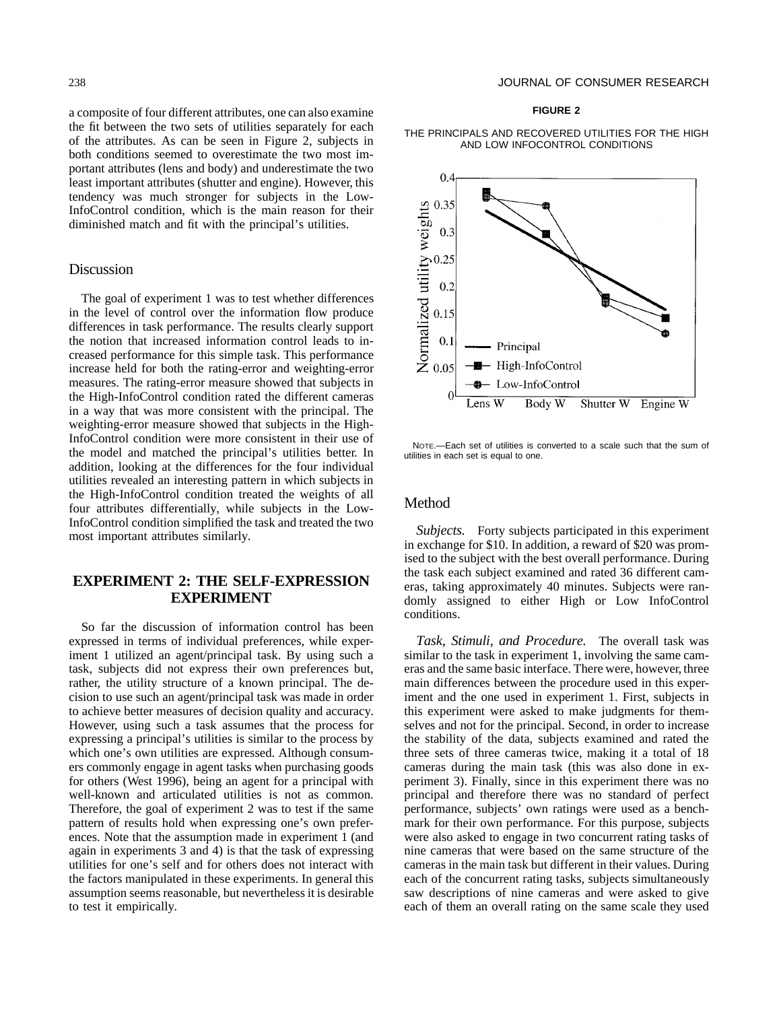a composite of four different attributes, one can also examine the fit between the two sets of utilities separately for each of the attributes. As can be seen in Figure 2, subjects in both conditions seemed to overestimate the two most important attributes (lens and body) and underestimate the two least important attributes (shutter and engine). However, this tendency was much stronger for subjects in the Low-InfoControl condition, which is the main reason for their diminished match and fit with the principal's utilities.

## Discussion

The goal of experiment 1 was to test whether differences in the level of control over the information flow produce differences in task performance. The results clearly support the notion that increased information control leads to increased performance for this simple task. This performance increase held for both the rating-error and weighting-error measures. The rating-error measure showed that subjects in the High-InfoControl condition rated the different cameras in a way that was more consistent with the principal. The weighting-error measure showed that subjects in the High-InfoControl condition were more consistent in their use of the model and matched the principal's utilities better. In addition, looking at the differences for the four individual utilities revealed an interesting pattern in which subjects in the High-InfoControl condition treated the weights of all four attributes differentially, while subjects in the Low-InfoControl condition simplified the task and treated the two most important attributes similarly.

# **EXPERIMENT 2: THE SELF-EXPRESSION EXPERIMENT**

So far the discussion of information control has been expressed in terms of individual preferences, while experiment 1 utilized an agent/principal task. By using such a task, subjects did not express their own preferences but, rather, the utility structure of a known principal. The decision to use such an agent/principal task was made in order to achieve better measures of decision quality and accuracy. However, using such a task assumes that the process for expressing a principal's utilities is similar to the process by which one's own utilities are expressed. Although consumers commonly engage in agent tasks when purchasing goods for others (West 1996), being an agent for a principal with well-known and articulated utilities is not as common. Therefore, the goal of experiment 2 was to test if the same pattern of results hold when expressing one's own preferences. Note that the assumption made in experiment 1 (and again in experiments 3 and 4) is that the task of expressing utilities for one's self and for others does not interact with the factors manipulated in these experiments. In general this assumption seems reasonable, but nevertheless it is desirable to test it empirically.

#### **FIGURE 2**

#### THE PRINCIPALS AND RECOVERED UTILITIES FOR THE HIGH AND LOW INFOCONTROL CONDITIONS



NOTE.—Each set of utilities is converted to a scale such that the sum of utilities in each set is equal to one.

#### Method

*Subjects.* Forty subjects participated in this experiment in exchange for \$10. In addition, a reward of \$20 was promised to the subject with the best overall performance. During the task each subject examined and rated 36 different cameras, taking approximately 40 minutes. Subjects were randomly assigned to either High or Low InfoControl conditions.

*Task, Stimuli, and Procedure.* The overall task was similar to the task in experiment 1, involving the same cameras and the same basic interface. There were, however, three main differences between the procedure used in this experiment and the one used in experiment 1. First, subjects in this experiment were asked to make judgments for themselves and not for the principal. Second, in order to increase the stability of the data, subjects examined and rated the three sets of three cameras twice, making it a total of 18 cameras during the main task (this was also done in experiment 3). Finally, since in this experiment there was no principal and therefore there was no standard of perfect performance, subjects' own ratings were used as a benchmark for their own performance. For this purpose, subjects were also asked to engage in two concurrent rating tasks of nine cameras that were based on the same structure of the cameras in the main task but different in their values. During each of the concurrent rating tasks, subjects simultaneously saw descriptions of nine cameras and were asked to give each of them an overall rating on the same scale they used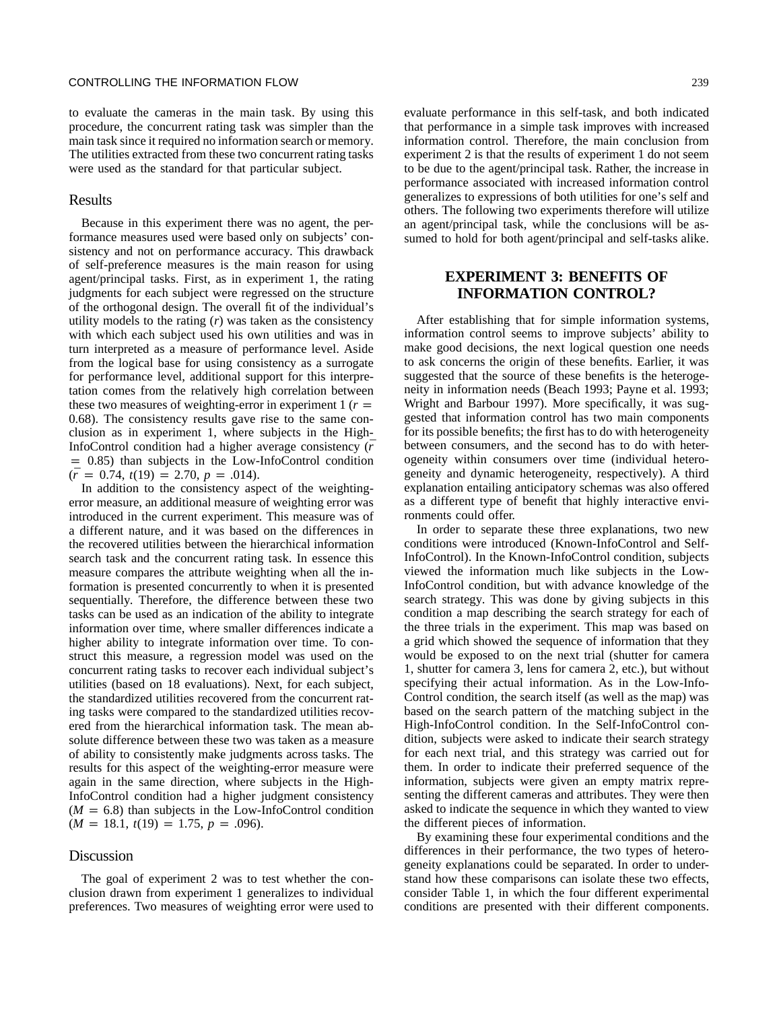to evaluate the cameras in the main task. By using this procedure, the concurrent rating task was simpler than the main task since it required no information search or memory. The utilities extracted from these two concurrent rating tasks were used as the standard for that particular subject.

## Results

Because in this experiment there was no agent, the performance measures used were based only on subjects' consistency and not on performance accuracy. This drawback of self-preference measures is the main reason for using agent/principal tasks. First, as in experiment 1, the rating judgments for each subject were regressed on the structure of the orthogonal design. The overall fit of the individual's utility models to the rating (*r*) was taken as the consistency with which each subject used his own utilities and was in turn interpreted as a measure of performance level. Aside from the logical base for using consistency as a surrogate for performance level, additional support for this interpretation comes from the relatively high correlation between these two measures of weighting-error in experiment  $1 (r =$ 0.68). The consistency results gave rise to the same conclusion as in experiment 1, where subjects in the High-InfoControl condition had a higher average consistency (*r¯*  $= 0.85$ ) than subjects in the Low-InfoControl condition  $(\bar{r} = 0.74, t(19) = 2.70, p = .014).$ 

In addition to the consistency aspect of the weightingerror measure, an additional measure of weighting error was introduced in the current experiment. This measure was of a different nature, and it was based on the differences in the recovered utilities between the hierarchical information search task and the concurrent rating task. In essence this measure compares the attribute weighting when all the information is presented concurrently to when it is presented sequentially. Therefore, the difference between these two tasks can be used as an indication of the ability to integrate information over time, where smaller differences indicate a higher ability to integrate information over time. To construct this measure, a regression model was used on the concurrent rating tasks to recover each individual subject's utilities (based on 18 evaluations). Next, for each subject, the standardized utilities recovered from the concurrent rating tasks were compared to the standardized utilities recovered from the hierarchical information task. The mean absolute difference between these two was taken as a measure of ability to consistently make judgments across tasks. The results for this aspect of the weighting-error measure were again in the same direction, where subjects in the High-InfoControl condition had a higher judgment consistency  $(M = 6.8)$  than subjects in the Low-InfoControl condition  $(M = 18.1, t(19) = 1.75, p = .096).$ 

## Discussion

The goal of experiment 2 was to test whether the conclusion drawn from experiment 1 generalizes to individual preferences. Two measures of weighting error were used to evaluate performance in this self-task, and both indicated that performance in a simple task improves with increased information control. Therefore, the main conclusion from experiment 2 is that the results of experiment 1 do not seem to be due to the agent/principal task. Rather, the increase in performance associated with increased information control generalizes to expressions of both utilities for one's self and others. The following two experiments therefore will utilize an agent/principal task, while the conclusions will be assumed to hold for both agent/principal and self-tasks alike.

# **EXPERIMENT 3: BENEFITS OF INFORMATION CONTROL?**

After establishing that for simple information systems, information control seems to improve subjects' ability to make good decisions, the next logical question one needs to ask concerns the origin of these benefits. Earlier, it was suggested that the source of these benefits is the heterogeneity in information needs (Beach 1993; Payne et al. 1993; Wright and Barbour 1997). More specifically, it was suggested that information control has two main components for its possible benefits; the first has to do with heterogeneity between consumers, and the second has to do with heterogeneity within consumers over time (individual heterogeneity and dynamic heterogeneity, respectively). A third explanation entailing anticipatory schemas was also offered as a different type of benefit that highly interactive environments could offer.

In order to separate these three explanations, two new conditions were introduced (Known-InfoControl and Self-InfoControl). In the Known-InfoControl condition, subjects viewed the information much like subjects in the Low-InfoControl condition, but with advance knowledge of the search strategy. This was done by giving subjects in this condition a map describing the search strategy for each of the three trials in the experiment. This map was based on a grid which showed the sequence of information that they would be exposed to on the next trial (shutter for camera 1, shutter for camera 3, lens for camera 2, etc.), but without specifying their actual information. As in the Low-Info-Control condition, the search itself (as well as the map) was based on the search pattern of the matching subject in the High-InfoControl condition. In the Self-InfoControl condition, subjects were asked to indicate their search strategy for each next trial, and this strategy was carried out for them. In order to indicate their preferred sequence of the information, subjects were given an empty matrix representing the different cameras and attributes. They were then asked to indicate the sequence in which they wanted to view the different pieces of information.

By examining these four experimental conditions and the differences in their performance, the two types of heterogeneity explanations could be separated. In order to understand how these comparisons can isolate these two effects, consider Table 1, in which the four different experimental conditions are presented with their different components.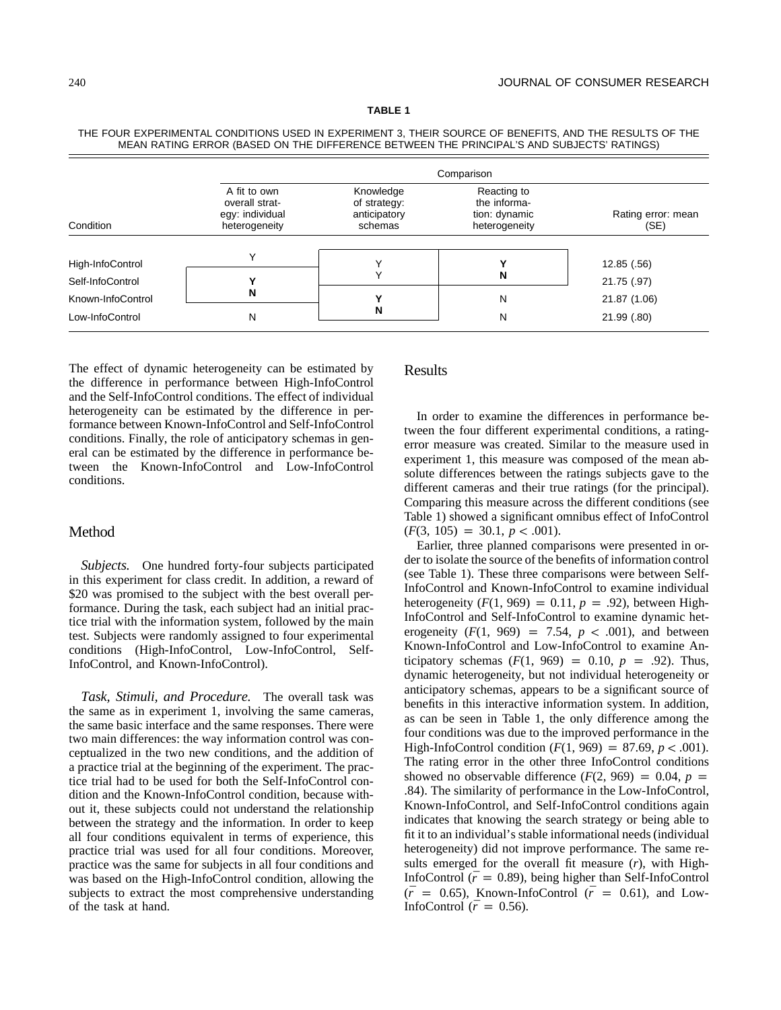THE FOUR EXPERIMENTAL CONDITIONS USED IN EXPERIMENT 3, THEIR SOURCE OF BENEFITS, AND THE RESULTS OF THE MEAN RATING ERROR (BASED ON THE DIFFERENCE BETWEEN THE PRINCIPAL'S AND SUBJECTS' RATINGS)

|                   | Comparison                                                         |                                                      |                                                               |                            |
|-------------------|--------------------------------------------------------------------|------------------------------------------------------|---------------------------------------------------------------|----------------------------|
| Condition         | A fit to own<br>overall strat-<br>egy: individual<br>heterogeneity | Knowledge<br>of strategy:<br>anticipatory<br>schemas | Reacting to<br>the informa-<br>tion: dynamic<br>heterogeneity | Rating error: mean<br>(SE) |
| High-InfoControl  |                                                                    |                                                      |                                                               | 12.85(.56)                 |
| Self-InfoControl  |                                                                    | ν                                                    | N                                                             | 21.75 (.97)                |
| Known-InfoControl | N                                                                  |                                                      | Ν                                                             | 21.87 (1.06)               |
| Low-InfoControl   | Ν                                                                  | N                                                    | Ν                                                             | 21.99 (.80)                |

The effect of dynamic heterogeneity can be estimated by the difference in performance between High-InfoControl and the Self-InfoControl conditions. The effect of individual heterogeneity can be estimated by the difference in performance between Known-InfoControl and Self-InfoControl conditions. Finally, the role of anticipatory schemas in general can be estimated by the difference in performance between the Known-InfoControl and Low-InfoControl conditions.

## Method

*Subjects.* One hundred forty-four subjects participated in this experiment for class credit. In addition, a reward of \$20 was promised to the subject with the best overall performance. During the task, each subject had an initial practice trial with the information system, followed by the main test. Subjects were randomly assigned to four experimental conditions (High-InfoControl, Low-InfoControl, Self-InfoControl, and Known-InfoControl).

*Task, Stimuli, and Procedure.* The overall task was the same as in experiment 1, involving the same cameras, the same basic interface and the same responses. There were two main differences: the way information control was conceptualized in the two new conditions, and the addition of a practice trial at the beginning of the experiment. The practice trial had to be used for both the Self-InfoControl condition and the Known-InfoControl condition, because without it, these subjects could not understand the relationship between the strategy and the information. In order to keep all four conditions equivalent in terms of experience, this practice trial was used for all four conditions. Moreover, practice was the same for subjects in all four conditions and was based on the High-InfoControl condition, allowing the subjects to extract the most comprehensive understanding of the task at hand.

# Results

In order to examine the differences in performance between the four different experimental conditions, a ratingerror measure was created. Similar to the measure used in experiment 1, this measure was composed of the mean absolute differences between the ratings subjects gave to the different cameras and their true ratings (for the principal). Comparing this measure across the different conditions (see Table 1) showed a significant omnibus effect of InfoControl  $(F(3, 105) = 30.1, p < .001)$ .

Earlier, three planned comparisons were presented in order to isolate the source of the benefits of information control (see Table 1). These three comparisons were between Self-InfoControl and Known-InfoControl to examine individual heterogeneity  $(F(1, 969) = 0.11, p = .92)$ , between High-InfoControl and Self-InfoControl to examine dynamic heterogeneity  $(F(1, 969) = 7.54, p < .001)$ , and between Known-InfoControl and Low-InfoControl to examine Anticipatory schemas  $(F(1, 969) = 0.10, p = .92)$ . Thus, dynamic heterogeneity, but not individual heterogeneity or anticipatory schemas, appears to be a significant source of benefits in this interactive information system. In addition, as can be seen in Table 1, the only difference among the four conditions was due to the improved performance in the High-InfoControl condition  $(F(1, 969) = 87.69, p < .001)$ . The rating error in the other three InfoControl conditions showed no observable difference  $(F(2, 969) = 0.04, p =$ .84). The similarity of performance in the Low-InfoControl, Known-InfoControl, and Self-InfoControl conditions again indicates that knowing the search strategy or being able to fit it to an individual's stable informational needs (individual heterogeneity) did not improve performance. The same results emerged for the overall fit measure (*r*), with High-InfoControl ( $\bar{r} = 0.89$ ), being higher than Self-InfoControl  $(\bar{r} = 0.65)$ , Known-InfoControl  $(\bar{r} = 0.61)$ , and Low-InfoControl ( $\bar{r} = 0.56$ ).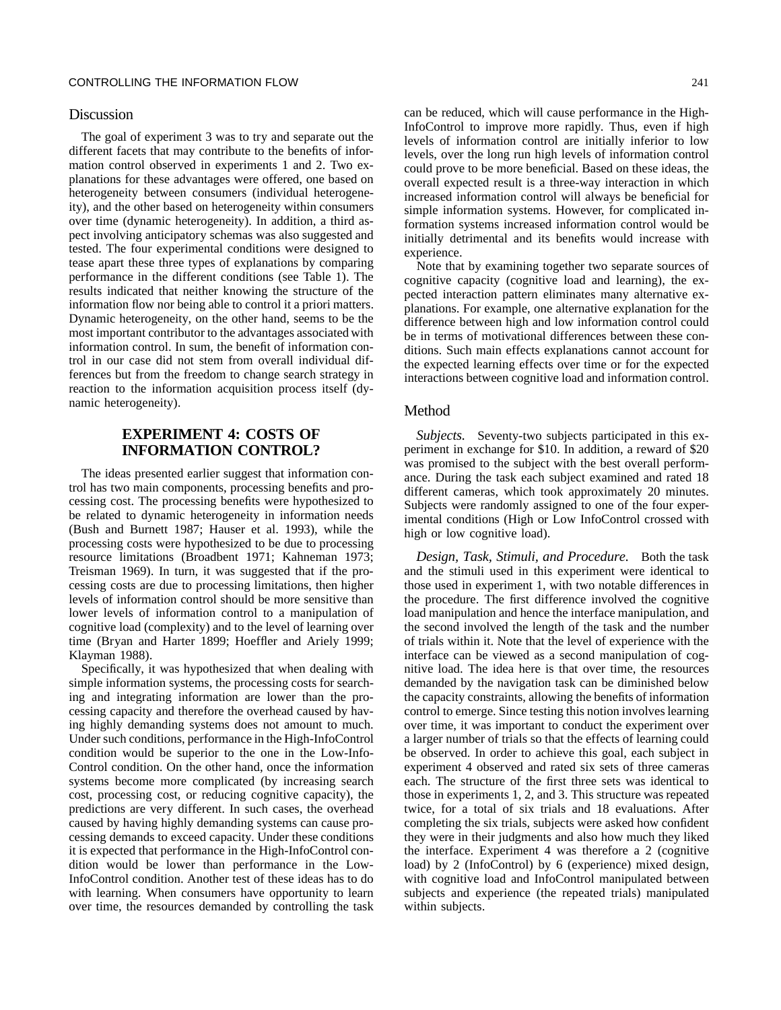#### CONTROLLING THE INFORMATION FLOW 241

## Discussion

The goal of experiment 3 was to try and separate out the different facets that may contribute to the benefits of information control observed in experiments 1 and 2. Two explanations for these advantages were offered, one based on heterogeneity between consumers (individual heterogeneity), and the other based on heterogeneity within consumers over time (dynamic heterogeneity). In addition, a third aspect involving anticipatory schemas was also suggested and tested. The four experimental conditions were designed to tease apart these three types of explanations by comparing performance in the different conditions (see Table 1). The results indicated that neither knowing the structure of the information flow nor being able to control it a priori matters. Dynamic heterogeneity, on the other hand, seems to be the most important contributor to the advantages associated with information control. In sum, the benefit of information control in our case did not stem from overall individual differences but from the freedom to change search strategy in reaction to the information acquisition process itself (dynamic heterogeneity).

# **EXPERIMENT 4: COSTS OF INFORMATION CONTROL?**

The ideas presented earlier suggest that information control has two main components, processing benefits and processing cost. The processing benefits were hypothesized to be related to dynamic heterogeneity in information needs (Bush and Burnett 1987; Hauser et al. 1993), while the processing costs were hypothesized to be due to processing resource limitations (Broadbent 1971; Kahneman 1973; Treisman 1969). In turn, it was suggested that if the processing costs are due to processing limitations, then higher levels of information control should be more sensitive than lower levels of information control to a manipulation of cognitive load (complexity) and to the level of learning over time (Bryan and Harter 1899; Hoeffler and Ariely 1999; Klayman 1988).

Specifically, it was hypothesized that when dealing with simple information systems, the processing costs for searching and integrating information are lower than the processing capacity and therefore the overhead caused by having highly demanding systems does not amount to much. Under such conditions, performance in the High-InfoControl condition would be superior to the one in the Low-Info-Control condition. On the other hand, once the information systems become more complicated (by increasing search cost, processing cost, or reducing cognitive capacity), the predictions are very different. In such cases, the overhead caused by having highly demanding systems can cause processing demands to exceed capacity. Under these conditions it is expected that performance in the High-InfoControl condition would be lower than performance in the Low-InfoControl condition. Another test of these ideas has to do with learning. When consumers have opportunity to learn over time, the resources demanded by controlling the task can be reduced, which will cause performance in the High-InfoControl to improve more rapidly. Thus, even if high levels of information control are initially inferior to low levels, over the long run high levels of information control could prove to be more beneficial. Based on these ideas, the overall expected result is a three-way interaction in which increased information control will always be beneficial for simple information systems. However, for complicated information systems increased information control would be initially detrimental and its benefits would increase with experience.

Note that by examining together two separate sources of cognitive capacity (cognitive load and learning), the expected interaction pattern eliminates many alternative explanations. For example, one alternative explanation for the difference between high and low information control could be in terms of motivational differences between these conditions. Such main effects explanations cannot account for the expected learning effects over time or for the expected interactions between cognitive load and information control.

#### Method

*Subjects.* Seventy-two subjects participated in this experiment in exchange for \$10. In addition, a reward of \$20 was promised to the subject with the best overall performance. During the task each subject examined and rated 18 different cameras, which took approximately 20 minutes. Subjects were randomly assigned to one of the four experimental conditions (High or Low InfoControl crossed with high or low cognitive load).

*Design, Task, Stimuli, and Procedure.* Both the task and the stimuli used in this experiment were identical to those used in experiment 1, with two notable differences in the procedure. The first difference involved the cognitive load manipulation and hence the interface manipulation, and the second involved the length of the task and the number of trials within it. Note that the level of experience with the interface can be viewed as a second manipulation of cognitive load. The idea here is that over time, the resources demanded by the navigation task can be diminished below the capacity constraints, allowing the benefits of information control to emerge. Since testing this notion involves learning over time, it was important to conduct the experiment over a larger number of trials so that the effects of learning could be observed. In order to achieve this goal, each subject in experiment 4 observed and rated six sets of three cameras each. The structure of the first three sets was identical to those in experiments 1, 2, and 3. This structure was repeated twice, for a total of six trials and 18 evaluations. After completing the six trials, subjects were asked how confident they were in their judgments and also how much they liked the interface. Experiment 4 was therefore a 2 (cognitive load) by 2 (InfoControl) by 6 (experience) mixed design, with cognitive load and InfoControl manipulated between subjects and experience (the repeated trials) manipulated within subjects.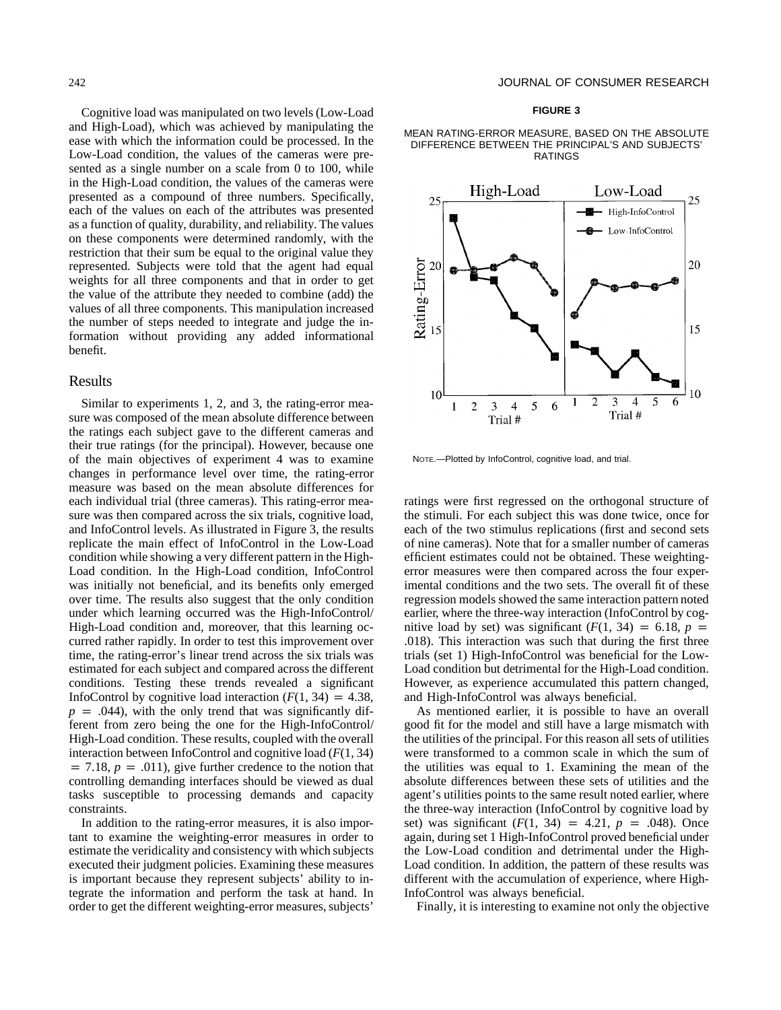Cognitive load was manipulated on two levels (Low-Load and High-Load), which was achieved by manipulating the ease with which the information could be processed. In the Low-Load condition, the values of the cameras were presented as a single number on a scale from 0 to 100, while in the High-Load condition, the values of the cameras were presented as a compound of three numbers. Specifically, each of the values on each of the attributes was presented as a function of quality, durability, and reliability. The values on these components were determined randomly, with the restriction that their sum be equal to the original value they represented. Subjects were told that the agent had equal weights for all three components and that in order to get the value of the attribute they needed to combine (add) the values of all three components. This manipulation increased the number of steps needed to integrate and judge the information without providing any added informational benefit.

#### Results

Similar to experiments 1, 2, and 3, the rating-error measure was composed of the mean absolute difference between the ratings each subject gave to the different cameras and their true ratings (for the principal). However, because one of the main objectives of experiment 4 was to examine changes in performance level over time, the rating-error measure was based on the mean absolute differences for each individual trial (three cameras). This rating-error measure was then compared across the six trials, cognitive load, and InfoControl levels. As illustrated in Figure 3, the results replicate the main effect of InfoControl in the Low-Load condition while showing a very different pattern in the High-Load condition. In the High-Load condition, InfoControl was initially not beneficial, and its benefits only emerged over time. The results also suggest that the only condition under which learning occurred was the High-InfoControl/ High-Load condition and, moreover, that this learning occurred rather rapidly. In order to test this improvement over time, the rating-error's linear trend across the six trials was estimated for each subject and compared across the different conditions. Testing these trends revealed a significant InfoControl by cognitive load interaction  $(F(1, 34) = 4.38$ ,  $p = .044$ ), with the only trend that was significantly different from zero being the one for the High-InfoControl/ High-Load condition. These results, coupled with the overall interaction between InfoControl and cognitive load (*F*(1, 34)  $p = 7.18$ ,  $p = .011$ ), give further credence to the notion that controlling demanding interfaces should be viewed as dual tasks susceptible to processing demands and capacity constraints.

In addition to the rating-error measures, it is also important to examine the weighting-error measures in order to estimate the veridicality and consistency with which subjects executed their judgment policies. Examining these measures is important because they represent subjects' ability to integrate the information and perform the task at hand. In order to get the different weighting-error measures, subjects'

#### **FIGURE 3**

MEAN RATING-ERROR MEASURE, BASED ON THE ABSOLUTE DIFFERENCE BETWEEN THE PRINCIPAL'S AND SUBJECTS' RATINGS



NOTE.—Plotted by InfoControl, cognitive load, and trial.

ratings were first regressed on the orthogonal structure of the stimuli. For each subject this was done twice, once for each of the two stimulus replications (first and second sets of nine cameras). Note that for a smaller number of cameras efficient estimates could not be obtained. These weightingerror measures were then compared across the four experimental conditions and the two sets. The overall fit of these regression models showed the same interaction pattern noted earlier, where the three-way interaction (InfoControl by cognitive load by set) was significant  $(F(1, 34) = 6.18, p =$ .018). This interaction was such that during the first three trials (set 1) High-InfoControl was beneficial for the Low-Load condition but detrimental for the High-Load condition. However, as experience accumulated this pattern changed, and High-InfoControl was always beneficial.

As mentioned earlier, it is possible to have an overall good fit for the model and still have a large mismatch with the utilities of the principal. For this reason all sets of utilities were transformed to a common scale in which the sum of the utilities was equal to 1. Examining the mean of the absolute differences between these sets of utilities and the agent's utilities points to the same result noted earlier, where the three-way interaction (InfoControl by cognitive load by set) was significant  $(F(1, 34) = 4.21, p = .048)$ . Once again, during set 1 High-InfoControl proved beneficial under the Low-Load condition and detrimental under the High-Load condition. In addition, the pattern of these results was different with the accumulation of experience, where High-InfoControl was always beneficial.

Finally, it is interesting to examine not only the objective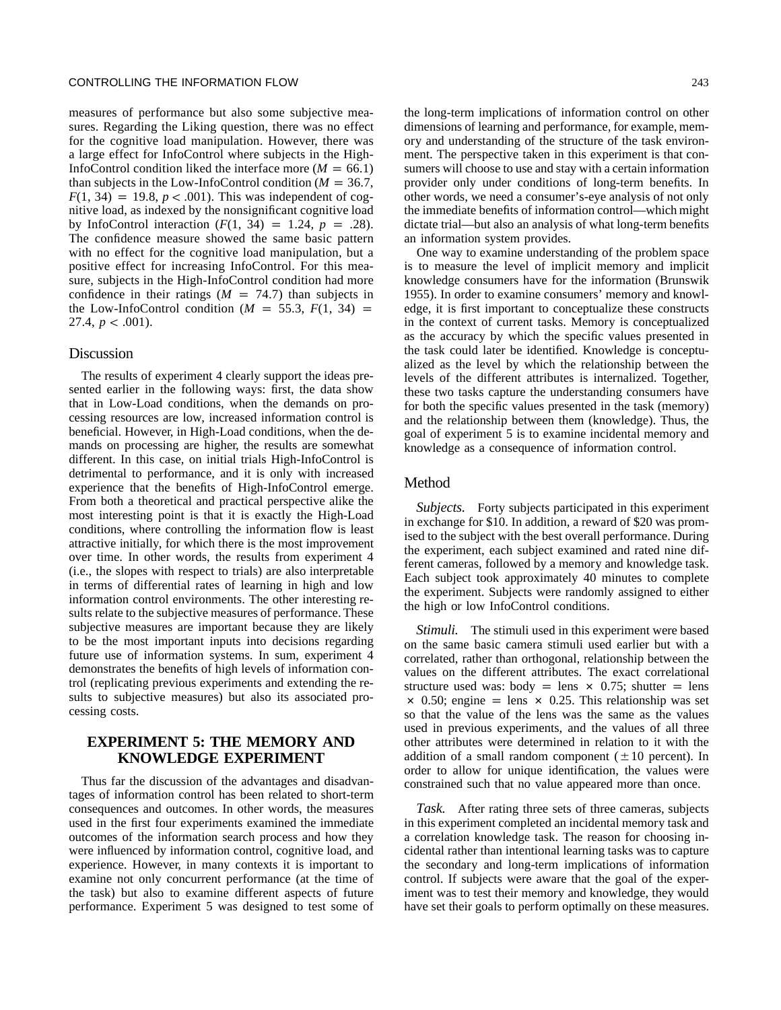measures of performance but also some subjective measures. Regarding the Liking question, there was no effect for the cognitive load manipulation. However, there was a large effect for InfoControl where subjects in the High-InfoControl condition liked the interface more  $(M = 66.1)$ than subjects in the Low-InfoControl condition ( $M = 36.7$ ,  $F(1, 34) = 19.8, p < .001$ . This was independent of cognitive load, as indexed by the nonsignificant cognitive load by InfoControl interaction  $(F(1, 34) = 1.24, p = .28)$ . The confidence measure showed the same basic pattern with no effect for the cognitive load manipulation, but a positive effect for increasing InfoControl. For this measure, subjects in the High-InfoControl condition had more confidence in their ratings  $(M = 74.7)$  than subjects in the Low-InfoControl condition ( $M = 55.3$ ,  $F(1, 34) =$ 27.4,  $p < .001$ ).

## Discussion

The results of experiment 4 clearly support the ideas presented earlier in the following ways: first, the data show that in Low-Load conditions, when the demands on processing resources are low, increased information control is beneficial. However, in High-Load conditions, when the demands on processing are higher, the results are somewhat different. In this case, on initial trials High-InfoControl is detrimental to performance, and it is only with increased experience that the benefits of High-InfoControl emerge. From both a theoretical and practical perspective alike the most interesting point is that it is exactly the High-Load conditions, where controlling the information flow is least attractive initially, for which there is the most improvement over time. In other words, the results from experiment 4 (i.e., the slopes with respect to trials) are also interpretable in terms of differential rates of learning in high and low information control environments. The other interesting results relate to the subjective measures of performance. These subjective measures are important because they are likely to be the most important inputs into decisions regarding future use of information systems. In sum, experiment 4 demonstrates the benefits of high levels of information control (replicating previous experiments and extending the results to subjective measures) but also its associated processing costs.

# **EXPERIMENT 5: THE MEMORY AND KNOWLEDGE EXPERIMENT**

Thus far the discussion of the advantages and disadvantages of information control has been related to short-term consequences and outcomes. In other words, the measures used in the first four experiments examined the immediate outcomes of the information search process and how they were influenced by information control, cognitive load, and experience. However, in many contexts it is important to examine not only concurrent performance (at the time of the task) but also to examine different aspects of future performance. Experiment 5 was designed to test some of the long-term implications of information control on other dimensions of learning and performance, for example, memory and understanding of the structure of the task environment. The perspective taken in this experiment is that consumers will choose to use and stay with a certain information provider only under conditions of long-term benefits. In other words, we need a consumer's-eye analysis of not only the immediate benefits of information control—which might dictate trial—but also an analysis of what long-term benefits an information system provides.

One way to examine understanding of the problem space is to measure the level of implicit memory and implicit knowledge consumers have for the information (Brunswik 1955). In order to examine consumers' memory and knowledge, it is first important to conceptualize these constructs in the context of current tasks. Memory is conceptualized as the accuracy by which the specific values presented in the task could later be identified. Knowledge is conceptualized as the level by which the relationship between the levels of the different attributes is internalized. Together, these two tasks capture the understanding consumers have for both the specific values presented in the task (memory) and the relationship between them (knowledge). Thus, the goal of experiment 5 is to examine incidental memory and knowledge as a consequence of information control.

# Method

*Subjects.* Forty subjects participated in this experiment in exchange for \$10. In addition, a reward of \$20 was promised to the subject with the best overall performance. During the experiment, each subject examined and rated nine different cameras, followed by a memory and knowledge task. Each subject took approximately 40 minutes to complete the experiment. Subjects were randomly assigned to either the high or low InfoControl conditions.

*Stimuli.* The stimuli used in this experiment were based on the same basic camera stimuli used earlier but with a correlated, rather than orthogonal, relationship between the values on the different attributes. The exact correlational structure used was: body = lens  $\times$  0.75; shutter = lens  $\times$  0.50; engine = lens  $\times$  0.25. This relationship was set so that the value of the lens was the same as the values used in previous experiments, and the values of all three other attributes were determined in relation to it with the addition of a small random component  $(\pm 10$  percent). In order to allow for unique identification, the values were constrained such that no value appeared more than once.

*Task.* After rating three sets of three cameras, subjects in this experiment completed an incidental memory task and a correlation knowledge task. The reason for choosing incidental rather than intentional learning tasks was to capture the secondary and long-term implications of information control. If subjects were aware that the goal of the experiment was to test their memory and knowledge, they would have set their goals to perform optimally on these measures.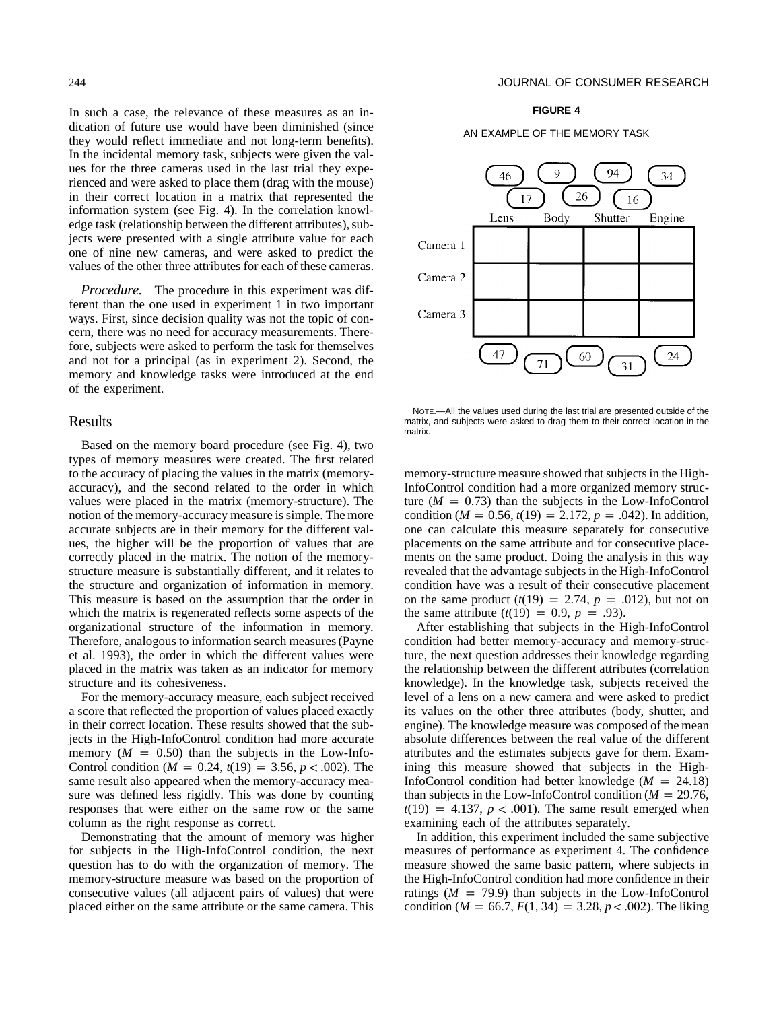In such a case, the relevance of these measures as an indication of future use would have been diminished (since they would reflect immediate and not long-term benefits). In the incidental memory task, subjects were given the values for the three cameras used in the last trial they experienced and were asked to place them (drag with the mouse) in their correct location in a matrix that represented the information system (see Fig. 4). In the correlation knowledge task (relationship between the different attributes), subjects were presented with a single attribute value for each one of nine new cameras, and were asked to predict the values of the other three attributes for each of these cameras.

*Procedure.* The procedure in this experiment was different than the one used in experiment 1 in two important ways. First, since decision quality was not the topic of concern, there was no need for accuracy measurements. Therefore, subjects were asked to perform the task for themselves and not for a principal (as in experiment 2). Second, the memory and knowledge tasks were introduced at the end of the experiment.

## Results

Based on the memory board procedure (see Fig. 4), two types of memory measures were created. The first related to the accuracy of placing the values in the matrix (memoryaccuracy), and the second related to the order in which values were placed in the matrix (memory-structure). The notion of the memory-accuracy measure is simple. The more accurate subjects are in their memory for the different values, the higher will be the proportion of values that are correctly placed in the matrix. The notion of the memorystructure measure is substantially different, and it relates to the structure and organization of information in memory. This measure is based on the assumption that the order in which the matrix is regenerated reflects some aspects of the organizational structure of the information in memory. Therefore, analogous to information search measures (Payne et al. 1993), the order in which the different values were placed in the matrix was taken as an indicator for memory structure and its cohesiveness.

For the memory-accuracy measure, each subject received a score that reflected the proportion of values placed exactly in their correct location. These results showed that the subjects in the High-InfoControl condition had more accurate memory  $(M = 0.50)$  than the subjects in the Low-Info-Control condition ( $M = 0.24$ ,  $t(19) = 3.56$ ,  $p < .002$ ). The same result also appeared when the memory-accuracy measure was defined less rigidly. This was done by counting responses that were either on the same row or the same column as the right response as correct.

Demonstrating that the amount of memory was higher for subjects in the High-InfoControl condition, the next question has to do with the organization of memory. The memory-structure measure was based on the proportion of consecutive values (all adjacent pairs of values) that were placed either on the same attribute or the same camera. This

#### **FIGURE 4**

AN EXAMPLE OF THE MEMORY TASK



NOTE.—All the values used during the last trial are presented outside of the matrix, and subjects were asked to drag them to their correct location in the matrix.

memory-structure measure showed that subjects in the High-InfoControl condition had a more organized memory structure  $(M = 0.73)$  than the subjects in the Low-InfoControl condition ( $M = 0.56$ ,  $t(19) = 2.172$ ,  $p = .042$ ). In addition, one can calculate this measure separately for consecutive placements on the same attribute and for consecutive placements on the same product. Doing the analysis in this way revealed that the advantage subjects in the High-InfoControl condition have was a result of their consecutive placement on the same product  $(t(19) = 2.74, p = .012)$ , but not on the same attribute  $(t(19) = 0.9, p = .93)$ .

After establishing that subjects in the High-InfoControl condition had better memory-accuracy and memory-structure, the next question addresses their knowledge regarding the relationship between the different attributes (correlation knowledge). In the knowledge task, subjects received the level of a lens on a new camera and were asked to predict its values on the other three attributes (body, shutter, and engine). The knowledge measure was composed of the mean absolute differences between the real value of the different attributes and the estimates subjects gave for them. Examining this measure showed that subjects in the High-InfoControl condition had better knowledge  $(M = 24.18)$ than subjects in the Low-InfoControl condition ( $M = 29.76$ ,  $t(19) = 4.137$ ,  $p < .001$ ). The same result emerged when examining each of the attributes separately.

In addition, this experiment included the same subjective measures of performance as experiment 4. The confidence measure showed the same basic pattern, where subjects in the High-InfoControl condition had more confidence in their ratings  $(M = 79.9)$  than subjects in the Low-InfoControl condition ( $M = 66.7$ ,  $F(1, 34) = 3.28$ ,  $p < .002$ ). The liking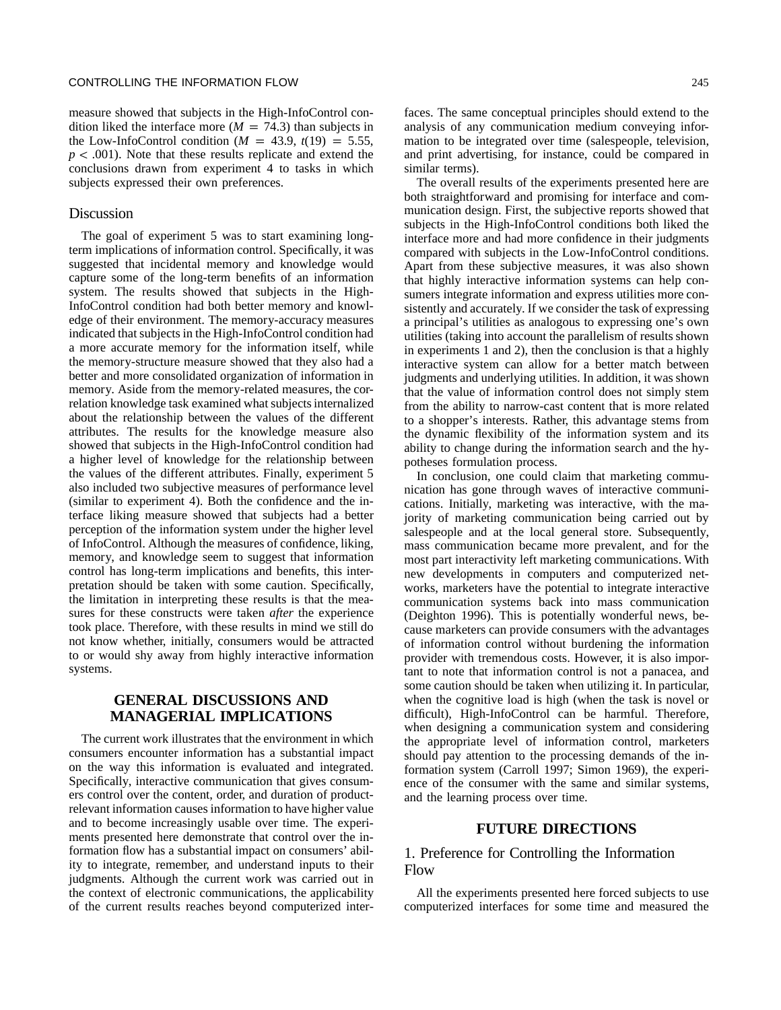measure showed that subjects in the High-InfoControl condition liked the interface more ( $M = 74.3$ ) than subjects in the Low-InfoControl condition ( $M = 43.9$ ,  $t(19) = 5.55$ ,  $p < .001$ ). Note that these results replicate and extend the conclusions drawn from experiment 4 to tasks in which subjects expressed their own preferences.

## Discussion

The goal of experiment 5 was to start examining longterm implications of information control. Specifically, it was suggested that incidental memory and knowledge would capture some of the long-term benefits of an information system. The results showed that subjects in the High-InfoControl condition had both better memory and knowledge of their environment. The memory-accuracy measures indicated that subjects in the High-InfoControl condition had a more accurate memory for the information itself, while the memory-structure measure showed that they also had a better and more consolidated organization of information in memory. Aside from the memory-related measures, the correlation knowledge task examined what subjects internalized about the relationship between the values of the different attributes. The results for the knowledge measure also showed that subjects in the High-InfoControl condition had a higher level of knowledge for the relationship between the values of the different attributes. Finally, experiment 5 also included two subjective measures of performance level (similar to experiment 4). Both the confidence and the interface liking measure showed that subjects had a better perception of the information system under the higher level of InfoControl. Although the measures of confidence, liking, memory, and knowledge seem to suggest that information control has long-term implications and benefits, this interpretation should be taken with some caution. Specifically, the limitation in interpreting these results is that the measures for these constructs were taken *after* the experience took place. Therefore, with these results in mind we still do not know whether, initially, consumers would be attracted to or would shy away from highly interactive information systems.

# **GENERAL DISCUSSIONS AND MANAGERIAL IMPLICATIONS**

The current work illustrates that the environment in which consumers encounter information has a substantial impact on the way this information is evaluated and integrated. Specifically, interactive communication that gives consumers control over the content, order, and duration of productrelevant information causes information to have higher value and to become increasingly usable over time. The experiments presented here demonstrate that control over the information flow has a substantial impact on consumers' ability to integrate, remember, and understand inputs to their judgments. Although the current work was carried out in the context of electronic communications, the applicability of the current results reaches beyond computerized interfaces. The same conceptual principles should extend to the analysis of any communication medium conveying information to be integrated over time (salespeople, television, and print advertising, for instance, could be compared in similar terms).

The overall results of the experiments presented here are both straightforward and promising for interface and communication design. First, the subjective reports showed that subjects in the High-InfoControl conditions both liked the interface more and had more confidence in their judgments compared with subjects in the Low-InfoControl conditions. Apart from these subjective measures, it was also shown that highly interactive information systems can help consumers integrate information and express utilities more consistently and accurately. If we consider the task of expressing a principal's utilities as analogous to expressing one's own utilities (taking into account the parallelism of results shown in experiments 1 and 2), then the conclusion is that a highly interactive system can allow for a better match between judgments and underlying utilities. In addition, it was shown that the value of information control does not simply stem from the ability to narrow-cast content that is more related to a shopper's interests. Rather, this advantage stems from the dynamic flexibility of the information system and its ability to change during the information search and the hypotheses formulation process.

In conclusion, one could claim that marketing communication has gone through waves of interactive communications. Initially, marketing was interactive, with the majority of marketing communication being carried out by salespeople and at the local general store. Subsequently, mass communication became more prevalent, and for the most part interactivity left marketing communications. With new developments in computers and computerized networks, marketers have the potential to integrate interactive communication systems back into mass communication (Deighton 1996). This is potentially wonderful news, because marketers can provide consumers with the advantages of information control without burdening the information provider with tremendous costs. However, it is also important to note that information control is not a panacea, and some caution should be taken when utilizing it. In particular, when the cognitive load is high (when the task is novel or difficult), High-InfoControl can be harmful. Therefore, when designing a communication system and considering the appropriate level of information control, marketers should pay attention to the processing demands of the information system (Carroll 1997; Simon 1969), the experience of the consumer with the same and similar systems, and the learning process over time.

## **FUTURE DIRECTIONS**

# 1. Preference for Controlling the Information Flow

All the experiments presented here forced subjects to use computerized interfaces for some time and measured the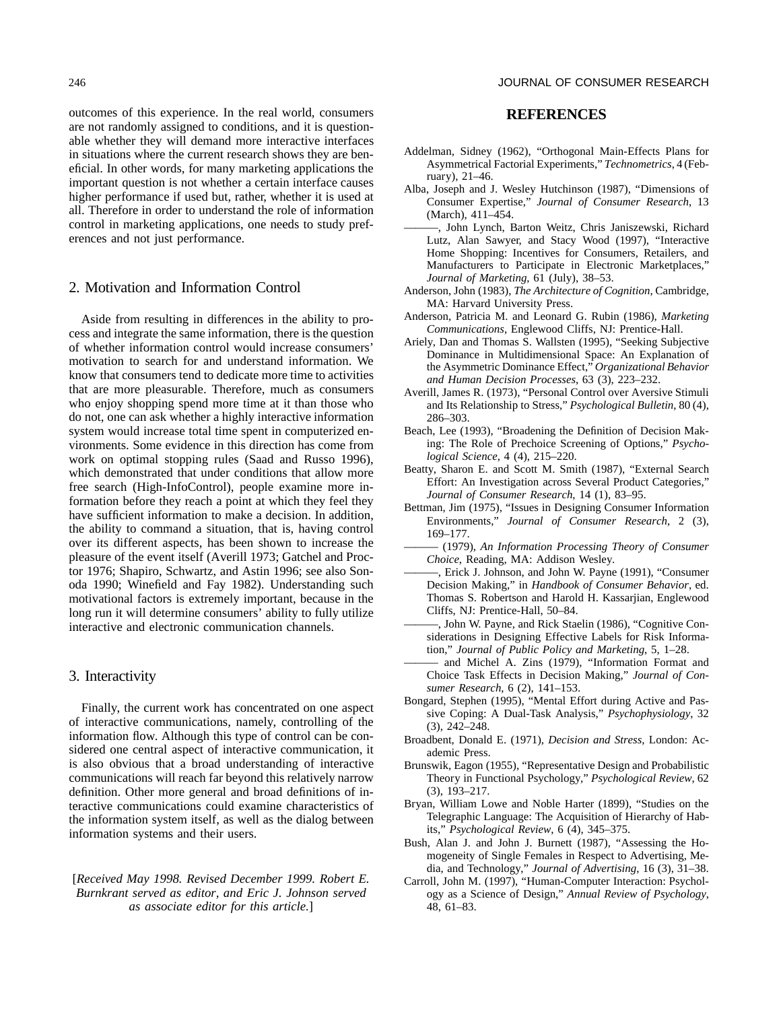outcomes of this experience. In the real world, consumers are not randomly assigned to conditions, and it is questionable whether they will demand more interactive interfaces in situations where the current research shows they are beneficial. In other words, for many marketing applications the important question is not whether a certain interface causes higher performance if used but, rather, whether it is used at all. Therefore in order to understand the role of information control in marketing applications, one needs to study preferences and not just performance.

# 2. Motivation and Information Control

Aside from resulting in differences in the ability to process and integrate the same information, there is the question of whether information control would increase consumers' motivation to search for and understand information. We know that consumers tend to dedicate more time to activities that are more pleasurable. Therefore, much as consumers who enjoy shopping spend more time at it than those who do not, one can ask whether a highly interactive information system would increase total time spent in computerized environments. Some evidence in this direction has come from work on optimal stopping rules (Saad and Russo 1996), which demonstrated that under conditions that allow more free search (High-InfoControl), people examine more information before they reach a point at which they feel they have sufficient information to make a decision. In addition, the ability to command a situation, that is, having control over its different aspects, has been shown to increase the pleasure of the event itself (Averill 1973; Gatchel and Proctor 1976; Shapiro, Schwartz, and Astin 1996; see also Sonoda 1990; Winefield and Fay 1982). Understanding such motivational factors is extremely important, because in the long run it will determine consumers' ability to fully utilize interactive and electronic communication channels.

#### 3. Interactivity

Finally, the current work has concentrated on one aspect of interactive communications, namely, controlling of the information flow. Although this type of control can be considered one central aspect of interactive communication, it is also obvious that a broad understanding of interactive communications will reach far beyond this relatively narrow definition. Other more general and broad definitions of interactive communications could examine characteristics of the information system itself, as well as the dialog between information systems and their users.

[*Received May 1998. Revised December 1999. Robert E. Burnkrant served as editor, and Eric J. Johnson served as associate editor for this article.*]

#### 246 JOURNAL OF CONSUMER RESEARCH

#### **REFERENCES**

- Addelman, Sidney (1962), "Orthogonal Main-Effects Plans for Asymmetrical Factorial Experiments," *Technometrics*, 4 (February), 21–46.
- Alba, Joseph and J. Wesley Hutchinson (1987), "Dimensions of Consumer Expertise," *Journal of Consumer Research*, 13 (March), 411–454.
- ———, John Lynch, Barton Weitz, Chris Janiszewski, Richard Lutz, Alan Sawyer, and Stacy Wood (1997), "Interactive Home Shopping: Incentives for Consumers, Retailers, and Manufacturers to Participate in Electronic Marketplaces," *Journal of Marketing*, 61 (July), 38–53.
- Anderson, John (1983), *The Architecture of Cognition*, Cambridge, MA: Harvard University Press.
- Anderson, Patricia M. and Leonard G. Rubin (1986), *Marketing Communications*, Englewood Cliffs, NJ: Prentice-Hall.
- Ariely, Dan and Thomas S. Wallsten (1995), "Seeking Subjective Dominance in Multidimensional Space: An Explanation of the Asymmetric Dominance Effect," *Organizational Behavior and Human Decision Processes*, 63 (3), 223–232.
- Averill, James R. (1973), "Personal Control over Aversive Stimuli and Its Relationship to Stress," *Psychological Bulletin*, 80 (4), 286–303.
- Beach, Lee (1993), "Broadening the Definition of Decision Making: The Role of Prechoice Screening of Options," *Psychological Science*, 4 (4), 215–220.
- Beatty, Sharon E. and Scott M. Smith (1987), "External Search Effort: An Investigation across Several Product Categories," *Journal of Consumer Research*, 14 (1), 83–95.
- Bettman, Jim (1975), "Issues in Designing Consumer Information Environments," *Journal of Consumer Research*, 2 (3), 169–177.
- ——— (1979), *An Information Processing Theory of Consumer Choice*, Reading, MA: Addison Wesley.
- ———, Erick J. Johnson, and John W. Payne (1991), "Consumer Decision Making," in *Handbook of Consumer Behavior*, ed. Thomas S. Robertson and Harold H. Kassarjian, Englewood Cliffs, NJ: Prentice-Hall, 50–84.
- ———, John W. Payne, and Rick Staelin (1986), "Cognitive Considerations in Designing Effective Labels for Risk Information," *Journal of Public Policy and Marketing*, 5, 1–28.
- ——— and Michel A. Zins (1979), "Information Format and Choice Task Effects in Decision Making," *Journal of Consumer Research*, 6 (2), 141–153.
- Bongard, Stephen (1995), "Mental Effort during Active and Passive Coping: A Dual-Task Analysis," *Psychophysiology*, 32 (3), 242–248.
- Broadbent, Donald E. (1971), *Decision and Stress*, London: Academic Press.
- Brunswik, Eagon (1955), "Representative Design and Probabilistic Theory in Functional Psychology," *Psychological Review*, 62 (3), 193–217.
- Bryan, William Lowe and Noble Harter (1899), "Studies on the Telegraphic Language: The Acquisition of Hierarchy of Habits," *Psychological Review*, 6 (4), 345–375.
- Bush, Alan J. and John J. Burnett (1987), "Assessing the Homogeneity of Single Females in Respect to Advertising, Media, and Technology," *Journal of Advertising*, 16 (3), 31–38.
- Carroll, John M. (1997), "Human-Computer Interaction: Psychology as a Science of Design," *Annual Review of Psychology*, 48, 61–83.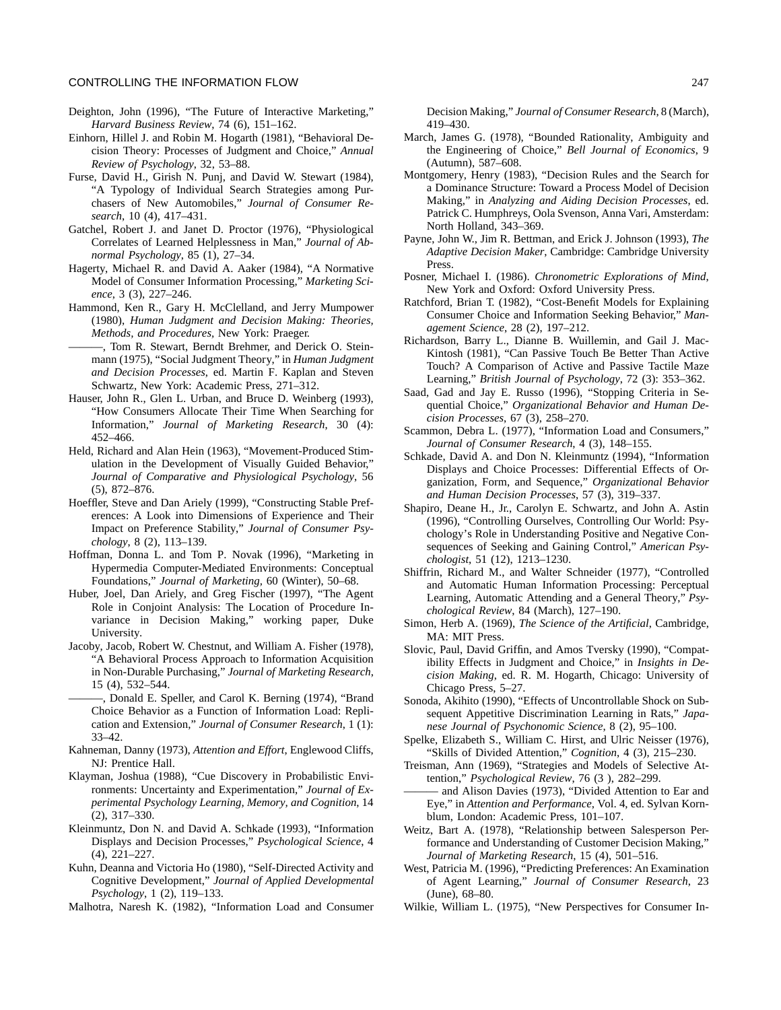#### CONTROLLING THE INFORMATION FLOW 247

- Deighton, John (1996), "The Future of Interactive Marketing," *Harvard Business Review*, 74 (6), 151–162.
- Einhorn, Hillel J. and Robin M. Hogarth (1981), "Behavioral Decision Theory: Processes of Judgment and Choice," *Annual Review of Psychology*, 32, 53–88.
- Furse, David H., Girish N. Punj, and David W. Stewart (1984), "A Typology of Individual Search Strategies among Purchasers of New Automobiles," *Journal of Consumer Research*, 10 (4), 417–431.
- Gatchel, Robert J. and Janet D. Proctor (1976), "Physiological Correlates of Learned Helplessness in Man," *Journal of Abnormal Psychology*, 85 (1), 27–34.
- Hagerty, Michael R. and David A. Aaker (1984), "A Normative Model of Consumer Information Processing," *Marketing Science*, 3 (3), 227–246.
- Hammond, Ken R., Gary H. McClelland, and Jerry Mumpower (1980), *Human Judgment and Decision Making: Theories, Methods, and Procedures,* New York: Praeger.
	- ———, Tom R. Stewart, Berndt Brehmer, and Derick O. Steinmann (1975), "Social Judgment Theory," in *Human Judgment and Decision Processes*, ed. Martin F. Kaplan and Steven Schwartz, New York: Academic Press, 271–312.
- Hauser, John R., Glen L. Urban, and Bruce D. Weinberg (1993), "How Consumers Allocate Their Time When Searching for Information," *Journal of Marketing Research*, 30 (4): 452–466.
- Held, Richard and Alan Hein (1963), "Movement-Produced Stimulation in the Development of Visually Guided Behavior," *Journal of Comparative and Physiological Psychology*, 56 (5), 872–876.
- Hoeffler, Steve and Dan Ariely (1999), "Constructing Stable Preferences: A Look into Dimensions of Experience and Their Impact on Preference Stability," *Journal of Consumer Psychology*, 8 (2), 113–139.
- Hoffman, Donna L. and Tom P. Novak (1996), "Marketing in Hypermedia Computer-Mediated Environments: Conceptual Foundations," *Journal of Marketing,* 60 (Winter), 50–68.
- Huber, Joel, Dan Ariely, and Greg Fischer (1997), "The Agent Role in Conjoint Analysis: The Location of Procedure Invariance in Decision Making," working paper, Duke University.
- Jacoby, Jacob, Robert W. Chestnut, and William A. Fisher (1978), "A Behavioral Process Approach to Information Acquisition in Non-Durable Purchasing," *Journal of Marketing Research*, 15 (4), 532–544.
- -, Donald E. Speller, and Carol K. Berning (1974), "Brand Choice Behavior as a Function of Information Load: Replication and Extension," *Journal of Consumer Research*, 1 (1): 33–42.
- Kahneman, Danny (1973), *Attention and Effort*, Englewood Cliffs, NJ: Prentice Hall.
- Klayman, Joshua (1988), "Cue Discovery in Probabilistic Environments: Uncertainty and Experimentation," *Journal of Experimental Psychology Learning, Memory, and Cognition*, 14 (2), 317–330.
- Kleinmuntz, Don N. and David A. Schkade (1993), "Information Displays and Decision Processes," *Psychological Science*, 4 (4), 221–227.
- Kuhn, Deanna and Victoria Ho (1980), "Self-Directed Activity and Cognitive Development," *Journal of Applied Developmental Psychology*, 1 (2), 119–133.
- Malhotra, Naresh K. (1982), "Information Load and Consumer

Decision Making," *Journal of Consumer Research*, 8 (March), 419–430.

- March, James G. (1978), "Bounded Rationality, Ambiguity and the Engineering of Choice," *Bell Journal of Economics*, 9 (Autumn), 587–608.
- Montgomery, Henry (1983), "Decision Rules and the Search for a Dominance Structure: Toward a Process Model of Decision Making," in *Analyzing and Aiding Decision Processes*, ed. Patrick C. Humphreys, Oola Svenson, Anna Vari, Amsterdam: North Holland, 343–369.
- Payne, John W., Jim R. Bettman, and Erick J. Johnson (1993), *The Adaptive Decision Maker*, Cambridge: Cambridge University Press.
- Posner, Michael I. (1986). *Chronometric Explorations of Mind*, New York and Oxford: Oxford University Press.
- Ratchford, Brian T. (1982), "Cost-Benefit Models for Explaining Consumer Choice and Information Seeking Behavior," *Management Science*, 28 (2), 197–212.
- Richardson, Barry L., Dianne B. Wuillemin, and Gail J. Mac-Kintosh (1981), "Can Passive Touch Be Better Than Active Touch? A Comparison of Active and Passive Tactile Maze Learning," *British Journal of Psychology*, 72 (3): 353–362.
- Saad, Gad and Jay E. Russo (1996), "Stopping Criteria in Sequential Choice," *Organizational Behavior and Human Decision Processes*, 67 (3), 258–270.
- Scammon, Debra L. (1977), "Information Load and Consumers," *Journal of Consumer Research*, 4 (3), 148–155.
- Schkade, David A. and Don N. Kleinmuntz (1994), "Information Displays and Choice Processes: Differential Effects of Organization, Form, and Sequence," *Organizational Behavior and Human Decision Processes*, 57 (3), 319–337.
- Shapiro, Deane H., Jr., Carolyn E. Schwartz, and John A. Astin (1996), "Controlling Ourselves, Controlling Our World: Psychology's Role in Understanding Positive and Negative Consequences of Seeking and Gaining Control," *American Psychologist*, 51 (12), 1213–1230.
- Shiffrin, Richard M., and Walter Schneider (1977), "Controlled and Automatic Human Information Processing: Perceptual Learning, Automatic Attending and a General Theory," *Psychological Review*, 84 (March), 127–190.
- Simon, Herb A. (1969), *The Science of the Artificial*, Cambridge, MA: MIT Press.
- Slovic, Paul, David Griffin, and Amos Tversky (1990), "Compatibility Effects in Judgment and Choice," in *Insights in Decision Making*, ed. R. M. Hogarth, Chicago: University of Chicago Press, 5–27.
- Sonoda, Akihito (1990), "Effects of Uncontrollable Shock on Subsequent Appetitive Discrimination Learning in Rats," *Japanese Journal of Psychonomic Science*, 8 (2), 95–100.
- Spelke, Elizabeth S., William C. Hirst, and Ulric Neisser (1976), "Skills of Divided Attention," *Cognition*, 4 (3), 215–230.
- Treisman, Ann (1969), "Strategies and Models of Selective Attention," *Psychological Review*, 76 (3 ), 282–299.
- ——— and Alison Davies (1973), "Divided Attention to Ear and Eye," in *Attention and Performance*, Vol. 4, ed. Sylvan Kornblum, London: Academic Press, 101–107.
- Weitz, Bart A. (1978), "Relationship between Salesperson Performance and Understanding of Customer Decision Making," *Journal of Marketing Research*, 15 (4), 501–516.
- West, Patricia M. (1996), "Predicting Preferences: An Examination of Agent Learning," *Journal of Consumer Research*, 23 (June), 68–80.
- Wilkie, William L. (1975), "New Perspectives for Consumer In-